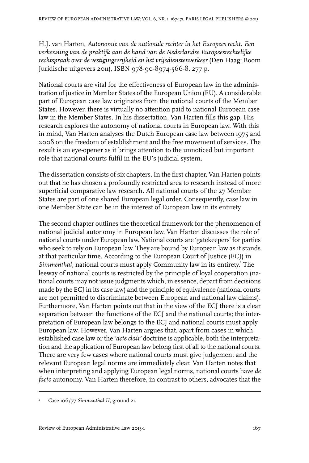H.J. van Harten, *Autonomie van de nationale rechter in het Europees recht. Een verkenning van de praktijk aan de hand van de Nederlandse Europeesrechtelijke rechtspraak over de vestigingsvrijheid en het vrijedienstenverkeer* (Den Haag: Boom Juridische uitgevers 2011), ISBN 978-90-8974-566-8, 277 p.

National courts are vital for the effectiveness of European law in the administration of justice in Member States of the European Union (EU). A considerable part of European case law originates from the national courts of the Member States. However, there is virtually no attention paid to national European case law in the Member States. In his dissertation, Van Harten fills this gap. His research explores the autonomy of national courts in European law. With this in mind, Van Harten analyses the Dutch European case law between 1975 and 2008 on the freedom of establishment and the free movement of services. The result is an eye-opener as it brings attention to the unnoticed but important role that national courts fulfil in the EU's judicial system.

The dissertation consists of six chapters. In the first chapter, Van Harten points out that he has chosen a profoundly restricted area to research instead of more superficial comparative law research. All national courts of the 27 Member States are part of one shared European legal order. Consequently, case law in one Member State can be in the interest of European law in its entirety.

The second chapter outlines the theoretical framework for the phenomenon of national judicial autonomy in European law. Van Harten discusses the role of national courts under European law. National courts are 'gatekeepers' for parties who seek to rely on European law. They are bound by European law as it stands at that particular time. According to the European Court of Justice (ECJ) in Simmenthal, national courts must apply Community law in its entirety.<sup>1</sup> The leeway of national courts is restricted by the principle of loyal cooperation (national courts may not issue judgments which, in essence, depart from decisions made by the ECJ in its case law) and the principle of equivalence (national courts are not permitted to discriminate between European and national law claims). Furthermore, Van Harten points out that in the view of the ECJ there is a clear separation between the functions of the ECJ and the national courts; the interpretation of European law belongs to the ECJ and national courts must apply European law. However, Van Harten argues that, apart from cases in which established case law or the *'acte clair'* doctrine is applicable, both the interpretation and the application of European law belong first of all to the national courts. There are very few cases where national courts must give judgement and the relevant European legal norms are immediately clear. Van Harten notes that when interpreting and applying European legal norms, national courts have *de facto* autonomy. Van Harten therefore, in contrast to others, advocates that the

<sup>&</sup>lt;sup>1</sup> Case 106/77 *Simmenthal II*, ground 21.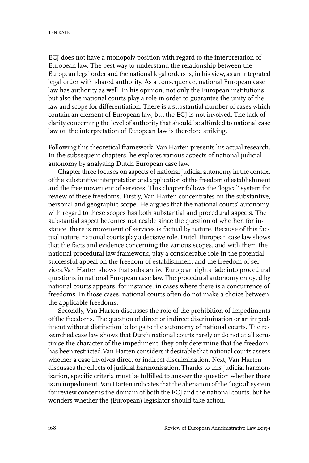ECJ does not have a monopoly position with regard to the interpretation of European law. The best way to understand the relationship between the European legal order and the national legal orders is, in his view, as an integrated legal order with shared authority. As a consequence, national European case law has authority as well. In his opinion, not only the European institutions, but also the national courts play a role in order to guarantee the unity of the law and scope for differentiation. There is a substantial number of cases which contain an element of European law, but the ECJ is not involved. The lack of clarity concerning the level of authority that should be afforded to national case law on the interpretation of European law is therefore striking.

Following this theoretical framework, Van Harten presents his actual research. In the subsequent chapters, he explores various aspects of national judicial autonomy by analysing Dutch European case law.

Chapter three focuses on aspects of national judicial autonomy in the context of the substantive interpretation and application of the freedom of establishment and the free movement of services. This chapter follows the 'logical' system for review of these freedoms. Firstly, Van Harten concentrates on the substantive, personal and geographic scope. He argues that the national courts' autonomy with regard to these scopes has both substantial and procedural aspects. The substantial aspect becomes noticeable since the question of whether, for instance, there is movement of services is factual by nature. Because of this factual nature, national courts play a decisive role. Dutch European case law shows that the facts and evidence concerning the various scopes, and with them the national procedural law framework, play a considerable role in the potential successful appeal on the freedom of establishment and the freedom of services.Van Harten shows that substantive European rights fade into procedural questions in national European case law. The procedural autonomy enjoyed by national courts appears, for instance, in cases where there is a concurrence of freedoms. In those cases, national courts often do not make a choice between the applicable freedoms.

Secondly, Van Harten discusses the role of the prohibition of impediments of the freedoms. The question of direct or indirect discrimination or an impediment without distinction belongs to the autonomy of national courts. The researched case law shows that Dutch national courts rarely or do not at all scrutinise the character of the impediment, they only determine that the freedom has been restricted.Van Harten considers it desirable that national courts assess whether a case involves direct or indirect discrimination. Next, Van Harten discusses the effects of judicial harmonisation. Thanks to this judicial harmonisation, specific criteria must be fulfilled to answer the question whether there is an impediment. Van Harten indicates that the alienation of the 'logical' system for review concerns the domain of both the ECJ and the national courts, but he wonders whether the (European) legislator should take action.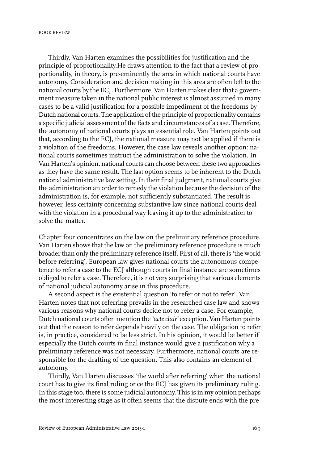BOOK REVIEW

Thirdly, Van Harten examines the possibilities for justification and the principle of proportionality.He draws attention to the fact that a review of proportionality, in theory, is pre-eminently the area in which national courts have autonomy. Consideration and decision making in this area are often left to the national courts by the ECJ. Furthermore, Van Harten makes clear that a government measure taken in the national public interest is almost assumed in many cases to be a valid justification for a possible impediment of the freedoms by Dutch national courts. The application of the principle of proportionality contains a specific judicial assessment of the facts and circumstances of a case. Therefore, the autonomy of national courts plays an essential role. Van Harten points out that, according to the ECJ, the national measure may not be applied if there is a violation of the freedoms. However, the case law reveals another option: national courts sometimes instruct the administration to solve the violation. In Van Harten's opinion, national courts can choose between these two approaches as they have the same result. The last option seems to be inherent to the Dutch national administrative law setting. In their final judgment, national courts give the administration an order to remedy the violation because the decision of the administration is, for example, not sufficiently substantiated. The result is however, less certainty concerning substantive law since national courts deal with the violation in a procedural way leaving it up to the administration to solve the matter.

Chapter four concentrates on the law on the preliminary reference procedure. Van Harten shows that the law on the preliminary reference procedure is much broader than only the preliminary reference itself. First of all, there is 'the world before referring'. European law gives national courts the autonomous competence to refer a case to the ECJ although courts in final instance are sometimes obliged to refer a case. Therefore, it is not very surprising that various elements of national judicial autonomy arise in this procedure.

A second aspect is the existential question 'to refer or not to refer'. Van Harten notes that not referring prevails in the researched case law and shows various reasons why national courts decide not to refer a case. For example, Dutch national courts often mention the 'acte clair' exception. Van Harten points out that the reason to refer depends heavily on the case. The obligation to refer is, in practice, considered to be less strict. In his opinion, it would be better if especially the Dutch courts in final instance would give a justification why a preliminary reference was not necessary. Furthermore, national courts are responsible for the drafting of the question. This also contains an element of autonomy.

Thirdly, Van Harten discusses 'the world after referring' when the national court has to give its final ruling once the ECJ has given its preliminary ruling. In this stage too, there is some judicial autonomy. This is in my opinion perhaps the most interesting stage as it often seems that the dispute ends with the pre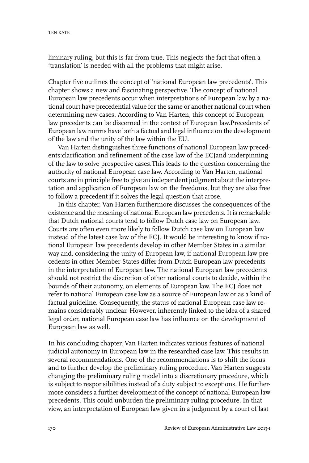liminary ruling, but this is far from true. This neglects the fact that often a 'translation' is needed with all the problems that might arise.

Chapter five outlines the concept of 'national European law precedents'. This chapter shows a new and fascinating perspective. The concept of national European law precedents occur when interpretations of European law by a national court have precedential value for the same or another national court when determining new cases. According to Van Harten, this concept of European law precedents can be discerned in the context of European law.Precedents of European law norms have both a factual and legal influence on the development of the law and the unity of the law within the EU.

Van Harten distinguishes three functions of national European law precedents:clarification and refinement of the case law of the ECJand underpinning of the law to solve prospective cases.This leads to the question concerning the authority of national European case law. According to Van Harten, national courts are in principle free to give an independent judgment about the interpretation and application of European law on the freedoms, but they are also free to follow a precedent if it solves the legal question that arose.

In this chapter, Van Harten furthermore discusses the consequences of the existence and the meaning of national European law precedents. It is remarkable that Dutch national courts tend to follow Dutch case law on European law. Courts are often even more likely to follow Dutch case law on European law instead of the latest case law of the ECJ. It would be interesting to know if national European law precedents develop in other Member States in a similar way and, considering the unity of European law, if national European law precedents in other Member States differ from Dutch European law precedents in the interpretation of European law. The national European law precedents should not restrict the discretion of other national courts to decide, within the bounds of their autonomy, on elements of European law. The ECJ does not refer to national European case law as a source of European law or as a kind of factual guideline. Consequently, the status of national European case law remains considerably unclear. However, inherently linked to the idea of a shared legal order, national European case law has influence on the development of European law as well.

In his concluding chapter, Van Harten indicates various features of national judicial autonomy in European law in the researched case law. This results in several recommendations. One of the recommendations is to shift the focus and to further develop the preliminary ruling procedure. Van Harten suggests changing the preliminary ruling model into a discretionary procedure, which is subject to responsibilities instead of a duty subject to exceptions. He furthermore considers a further development of the concept of national European law precedents. This could unburden the preliminary ruling procedure. In that view, an interpretation of European law given in a judgment by a court of last